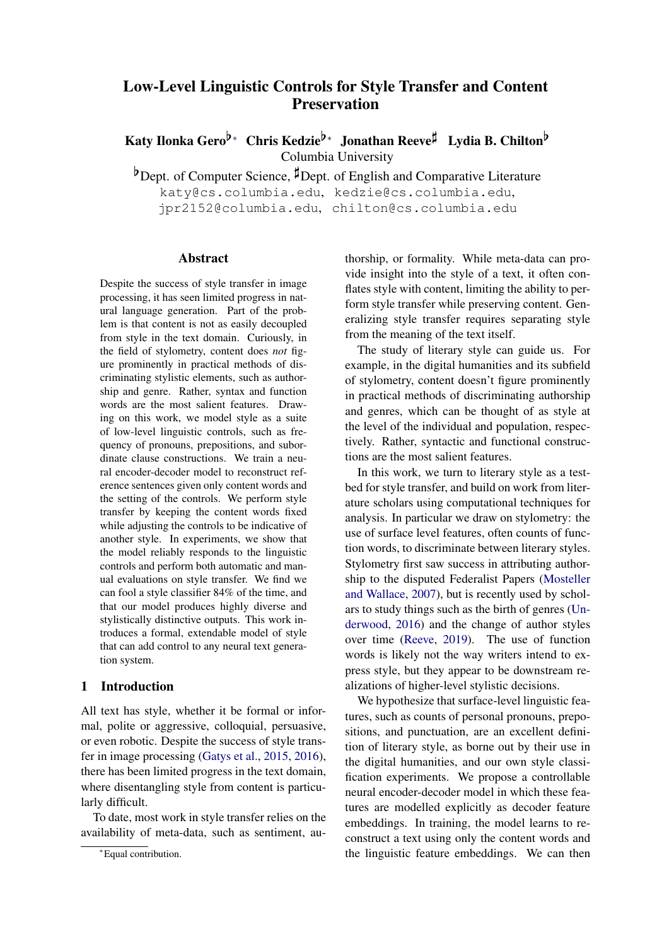# Low-Level Linguistic Controls for Style Transfer and Content Preservation

Katy Ilonka Gero<sup>b</sup>\* Chris Kedzie<sup>b\*</sup> Jonathan Reeve<sup> $\sharp$ </sup> Lydia B. Chilton<sup>b</sup> Columbia University

 $b$ Dept. of Computer Science,  $\sharp$ Dept. of English and Comparative Literature

katy@cs.columbia.edu, kedzie@cs.columbia.edu, jpr2152@columbia.edu, chilton@cs.columbia.edu

### Abstract

Despite the success of style transfer in image processing, it has seen limited progress in natural language generation. Part of the problem is that content is not as easily decoupled from style in the text domain. Curiously, in the field of stylometry, content does *not* figure prominently in practical methods of discriminating stylistic elements, such as authorship and genre. Rather, syntax and function words are the most salient features. Drawing on this work, we model style as a suite of low-level linguistic controls, such as frequency of pronouns, prepositions, and subordinate clause constructions. We train a neural encoder-decoder model to reconstruct reference sentences given only content words and the setting of the controls. We perform style transfer by keeping the content words fixed while adjusting the controls to be indicative of another style. In experiments, we show that the model reliably responds to the linguistic controls and perform both automatic and manual evaluations on style transfer. We find we can fool a style classifier 84% of the time, and that our model produces highly diverse and stylistically distinctive outputs. This work introduces a formal, extendable model of style that can add control to any neural text generation system.

## 1 Introduction

All text has style, whether it be formal or informal, polite or aggressive, colloquial, persuasive, or even robotic. Despite the success of style transfer in image processing [\(Gatys et al.,](#page-9-0) [2015,](#page-9-0) [2016\)](#page-9-1), there has been limited progress in the text domain, where disentangling style from content is particularly difficult.

To date, most work in style transfer relies on the availability of meta-data, such as sentiment, au-

thorship, or formality. While meta-data can provide insight into the style of a text, it often conflates style with content, limiting the ability to perform style transfer while preserving content. Generalizing style transfer requires separating style from the meaning of the text itself.

The study of literary style can guide us. For example, in the digital humanities and its subfield of stylometry, content doesn't figure prominently in practical methods of discriminating authorship and genres, which can be thought of as style at the level of the individual and population, respectively. Rather, syntactic and functional constructions are the most salient features.

In this work, we turn to literary style as a testbed for style transfer, and build on work from literature scholars using computational techniques for analysis. In particular we draw on stylometry: the use of surface level features, often counts of function words, to discriminate between literary styles. Stylometry first saw success in attributing authorship to the disputed Federalist Papers [\(Mosteller](#page-9-2) [and Wallace,](#page-9-2) [2007\)](#page-9-2), but is recently used by scholars to study things such as the birth of genres [\(Un](#page-10-0)[derwood,](#page-10-0) [2016\)](#page-10-0) and the change of author styles over time [\(Reeve,](#page-9-3) [2019\)](#page-9-3). The use of function words is likely not the way writers intend to express style, but they appear to be downstream realizations of higher-level stylistic decisions.

We hypothesize that surface-level linguistic features, such as counts of personal pronouns, prepositions, and punctuation, are an excellent definition of literary style, as borne out by their use in the digital humanities, and our own style classification experiments. We propose a controllable neural encoder-decoder model in which these features are modelled explicitly as decoder feature embeddings. In training, the model learns to reconstruct a text using only the content words and the linguistic feature embeddings. We can then

<sup>∗</sup>Equal contribution.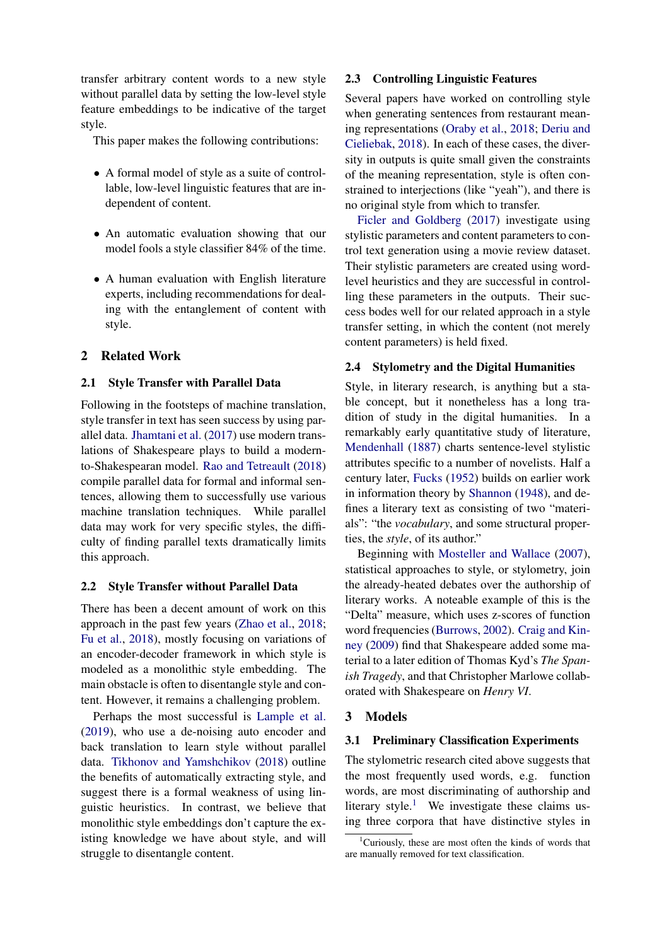transfer arbitrary content words to a new style without parallel data by setting the low-level style feature embeddings to be indicative of the target style.

This paper makes the following contributions:

- A formal model of style as a suite of controllable, low-level linguistic features that are independent of content.
- An automatic evaluation showing that our model fools a style classifier 84% of the time.
- A human evaluation with English literature experts, including recommendations for dealing with the entanglement of content with style.

### 2 Related Work

#### 2.1 Style Transfer with Parallel Data

Following in the footsteps of machine translation, style transfer in text has seen success by using parallel data. [Jhamtani et al.](#page-9-4) [\(2017\)](#page-9-4) use modern translations of Shakespeare plays to build a modernto-Shakespearan model. [Rao and Tetreault](#page-9-5) [\(2018\)](#page-9-5) compile parallel data for formal and informal sentences, allowing them to successfully use various machine translation techniques. While parallel data may work for very specific styles, the difficulty of finding parallel texts dramatically limits this approach.

#### 2.2 Style Transfer without Parallel Data

There has been a decent amount of work on this approach in the past few years [\(Zhao et al.,](#page-10-1) [2018;](#page-10-1) [Fu et al.,](#page-9-6) [2018\)](#page-9-6), mostly focusing on variations of an encoder-decoder framework in which style is modeled as a monolithic style embedding. The main obstacle is often to disentangle style and content. However, it remains a challenging problem.

Perhaps the most successful is [Lample et al.](#page-9-7) [\(2019\)](#page-9-7), who use a de-noising auto encoder and back translation to learn style without parallel data. [Tikhonov and Yamshchikov](#page-9-8) [\(2018\)](#page-9-8) outline the benefits of automatically extracting style, and suggest there is a formal weakness of using linguistic heuristics. In contrast, we believe that monolithic style embeddings don't capture the existing knowledge we have about style, and will struggle to disentangle content.

#### 2.3 Controlling Linguistic Features

Several papers have worked on controlling style when generating sentences from restaurant meaning representations [\(Oraby et al.,](#page-9-9) [2018;](#page-9-9) [Deriu and](#page-9-10) [Cieliebak,](#page-9-10) [2018\)](#page-9-10). In each of these cases, the diversity in outputs is quite small given the constraints of the meaning representation, style is often constrained to interjections (like "yeah"), and there is no original style from which to transfer.

[Ficler and Goldberg](#page-9-11) [\(2017\)](#page-9-11) investigate using stylistic parameters and content parameters to control text generation using a movie review dataset. Their stylistic parameters are created using wordlevel heuristics and they are successful in controlling these parameters in the outputs. Their success bodes well for our related approach in a style transfer setting, in which the content (not merely content parameters) is held fixed.

### 2.4 Stylometry and the Digital Humanities

Style, in literary research, is anything but a stable concept, but it nonetheless has a long tradition of study in the digital humanities. In a remarkably early quantitative study of literature, [Mendenhall](#page-9-12) [\(1887\)](#page-9-12) charts sentence-level stylistic attributes specific to a number of novelists. Half a century later, [Fucks](#page-9-13) [\(1952\)](#page-9-13) builds on earlier work in information theory by [Shannon](#page-9-14) [\(1948\)](#page-9-14), and defines a literary text as consisting of two "materials": "the *vocabulary*, and some structural properties, the *style*, of its author."

Beginning with [Mosteller and Wallace](#page-9-2) [\(2007\)](#page-9-2), statistical approaches to style, or stylometry, join the already-heated debates over the authorship of literary works. A noteable example of this is the "Delta" measure, which uses z-scores of function word frequencies [\(Burrows,](#page-9-15) [2002\)](#page-9-15). [Craig and Kin](#page-9-16)[ney](#page-9-16) [\(2009\)](#page-9-16) find that Shakespeare added some material to a later edition of Thomas Kyd's *The Spanish Tragedy*, and that Christopher Marlowe collaborated with Shakespeare on *Henry VI*.

#### 3 Models

#### 3.1 Preliminary Classification Experiments

The stylometric research cited above suggests that the most frequently used words, e.g. function words, are most discriminating of authorship and literary style.<sup>[1](#page-1-0)</sup> We investigate these claims using three corpora that have distinctive styles in

<span id="page-1-0"></span><sup>&</sup>lt;sup>1</sup>Curiously, these are most often the kinds of words that are manually removed for text classification.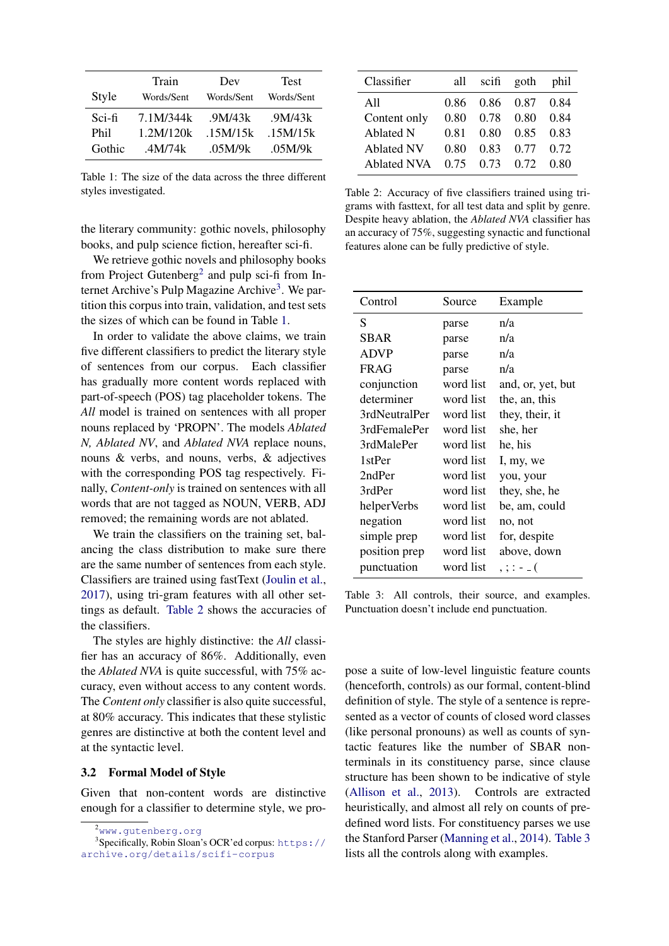<span id="page-2-2"></span>

|        | Train      | Dev        | <b>Test</b> |
|--------|------------|------------|-------------|
| Style  | Words/Sent | Words/Sent | Words/Sent  |
| Sci-fi | 7.1M/344k  | .9M/43k    | .9M/43k     |
| Phil   | 1.2M/120k  | .15M/15k   | .15M/15k    |
| Gothic | .4M/74k    | .05M/9k    | .05M/9k     |

Table 1: The size of the data across the three different styles investigated.

the literary community: gothic novels, philosophy books, and pulp science fiction, hereafter sci-fi.

We retrieve gothic novels and philosophy books from Project Gutenberg<sup>[2](#page-2-0)</sup> and pulp sci-fi from In-ternet Archive's Pulp Magazine Archive<sup>[3](#page-2-1)</sup>. We partition this corpus into train, validation, and test sets the sizes of which can be found in Table [1.](#page-2-2)

In order to validate the above claims, we train five different classifiers to predict the literary style of sentences from our corpus. Each classifier has gradually more content words replaced with part-of-speech (POS) tag placeholder tokens. The *All* model is trained on sentences with all proper nouns replaced by 'PROPN'. The models *Ablated N, Ablated NV*, and *Ablated NVA* replace nouns, nouns & verbs, and nouns, verbs, & adjectives with the corresponding POS tag respectively. Finally, *Content-only* is trained on sentences with all words that are not tagged as NOUN, VERB, ADJ removed; the remaining words are not ablated.

We train the classifiers on the training set, balancing the class distribution to make sure there are the same number of sentences from each style. Classifiers are trained using fastText [\(Joulin et al.,](#page-9-17) [2017\)](#page-9-17), using tri-gram features with all other settings as default. [Table 2](#page-2-3) shows the accuracies of the classifiers.

The styles are highly distinctive: the *All* classifier has an accuracy of 86%. Additionally, even the *Ablated NVA* is quite successful, with 75% accuracy, even without access to any content words. The *Content only* classifier is also quite successful, at 80% accuracy. This indicates that these stylistic genres are distinctive at both the content level and at the syntactic level.

#### <span id="page-2-5"></span>3.2 Formal Model of Style

Given that non-content words are distinctive enough for a classifier to determine style, we pro-

<span id="page-2-3"></span>

| Classifier         | all  | scifi                | goth | phil |
|--------------------|------|----------------------|------|------|
| A11                | 0.86 | 0.86                 | 0.87 | 0.84 |
| Content only       | 0.80 | 0.78                 | 0.80 | 0.84 |
| Ablated N          | 0.81 | 0.80                 | 0.85 | 0.83 |
| <b>Ablated NV</b>  | 0.80 | 0.83                 | 0.77 | 0.72 |
| <b>Ablated NVA</b> |      | $0.75$ $0.73$ $0.72$ |      | 0.80 |

Table 2: Accuracy of five classifiers trained using trigrams with fasttext, for all test data and split by genre. Despite heavy ablation, the *Ablated NVA* classifier has an accuracy of 75%, suggesting synactic and functional features alone can be fully predictive of style.

<span id="page-2-4"></span>

| Control       | Source    | Example           |
|---------------|-----------|-------------------|
| S             | parse     | n/a               |
| SBAR          | parse     | n/a               |
| <b>ADVP</b>   | parse     | n/a               |
| <b>FRAG</b>   | parse     | n/a               |
| conjunction   | word list | and, or, yet, but |
| determiner    | word list | the, an, this     |
| 3rdNeutralPer | word list | they, their, it   |
| 3rdFemalePer  | word list | she, her          |
| 3rdMalePer    | word list | he, his           |
| 1stPer        | word list | I, my, we         |
| 2ndPer        | word list | you, your         |
| 3rdPer        | word list | they, she, he     |
| helperVerbs   | word list | be, am, could     |
| negation      | word list | no, not           |
| simple prep   | word list | for, despite      |
| position prep | word list | above, down       |
| punctuation   | word list | $, ; : - \_$      |

Table 3: All controls, their source, and examples. Punctuation doesn't include end punctuation.

pose a suite of low-level linguistic feature counts (henceforth, controls) as our formal, content-blind definition of style. The style of a sentence is represented as a vector of counts of closed word classes (like personal pronouns) as well as counts of syntactic features like the number of SBAR nonterminals in its constituency parse, since clause structure has been shown to be indicative of style [\(Allison et al.,](#page-9-18) [2013\)](#page-9-18). Controls are extracted heuristically, and almost all rely on counts of predefined word lists. For constituency parses we use the Stanford Parser [\(Manning et al.,](#page-9-19) [2014\)](#page-9-19). [Table 3](#page-2-4) lists all the controls along with examples.

<span id="page-2-1"></span><span id="page-2-0"></span><sup>2</sup><www.gutenberg.org>

<sup>&</sup>lt;sup>3</sup> Specifically, Robin Sloan's OCR'ed corpus: [https://](https://archive.org/details/scifi-corpus) [archive.org/details/scifi-corpus](https://archive.org/details/scifi-corpus)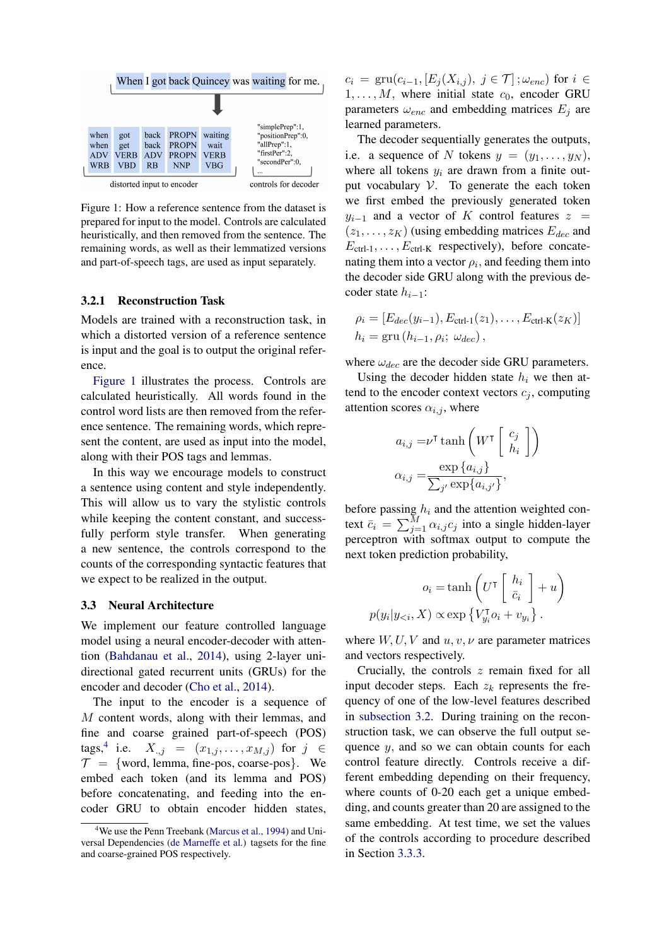<span id="page-3-0"></span>

Figure 1: How a reference sentence from the dataset is prepared for input to the model. Controls are calculated heuristically, and then removed from the sentence. The remaining words, as well as their lemmatized versions and part-of-speech tags, are used as input separately.

#### 3.2.1 Reconstruction Task

Models are trained with a reconstruction task, in which a distorted version of a reference sentence is input and the goal is to output the original reference.

[Figure 1](#page-3-0) illustrates the process. Controls are calculated heuristically. All words found in the control word lists are then removed from the reference sentence. The remaining words, which represent the content, are used as input into the model, along with their POS tags and lemmas.

In this way we encourage models to construct a sentence using content and style independently. This will allow us to vary the stylistic controls while keeping the content constant, and successfully perform style transfer. When generating a new sentence, the controls correspond to the counts of the corresponding syntactic features that we expect to be realized in the output.

#### 3.3 Neural Architecture

We implement our feature controlled language model using a neural encoder-decoder with attention [\(Bahdanau et al.,](#page-9-20) [2014\)](#page-9-20), using 2-layer unidirectional gated recurrent units (GRUs) for the encoder and decoder [\(Cho et al.,](#page-9-21) [2014\)](#page-9-21).

The input to the encoder is a sequence of M content words, along with their lemmas, and fine and coarse grained part-of-speech (POS) tags,<sup>[4](#page-3-1)</sup> i.e.  $X_{.,j} = (x_{1,j}, \ldots, x_{M,j})$  for  $j \in$  $\mathcal{T} = \{$  word, lemma, fine-pos, coarse-pos}. We embed each token (and its lemma and POS) before concatenating, and feeding into the encoder GRU to obtain encoder hidden states,

 $c_i = \text{gru}(c_{i-1}, [E_j(X_{i,j}), j \in \mathcal{T}]$ ;  $\omega_{enc}$ ) for  $i \in$  $1, \ldots, M$ , where initial state  $c_0$ , encoder GRU parameters  $\omega_{enc}$  and embedding matrices  $E_j$  are learned parameters.

The decoder sequentially generates the outputs, i.e. a sequence of N tokens  $y = (y_1, \ldots, y_N)$ , where all tokens  $y_i$  are drawn from a finite output vocabulary  $V$ . To generate the each token we first embed the previously generated token  $y_{i-1}$  and a vector of K control features  $z =$  $(z_1, \ldots, z_K)$  (using embedding matrices  $E_{dec}$  and  $E_{\text{ctrl-1}}, \ldots, E_{\text{ctrl-K}}$  respectively), before concatenating them into a vector  $\rho_i$ , and feeding them into the decoder side GRU along with the previous decoder state  $h_{i-1}$ :

$$
\rho_i = [E_{dec}(y_{i-1}), E_{\text{ctrl-1}}(z_1), \dots, E_{\text{ctrl-K}}(z_K)]
$$
  

$$
h_i = \text{gru}(h_{i-1}, \rho_i; \omega_{dec}),
$$

where  $\omega_{dec}$  are the decoder side GRU parameters.

Using the decoder hidden state  $h_i$  we then attend to the encoder context vectors  $c_j$ , computing attention scores  $\alpha_{i,j}$ , where

$$
a_{i,j} = \nu^{\mathsf{T}} \tanh\left(W^{\mathsf{T}} \begin{bmatrix} c_j \\ h_i \end{bmatrix}\right)
$$

$$
\alpha_{i,j} = \frac{\exp\{a_{i,j}\}}{\sum_{j'} \exp\{a_{i,j'}\}},
$$

before passing  $h_i$  and the attention weighted context  $\bar{c}_i = \sum_{j=1}^{M} \alpha_{i,j} c_j$  into a single hidden-layer perceptron with softmax output to compute the next token prediction probability,

$$
o_i = \tanh\left(U^{\mathsf{T}}\left[\begin{array}{c}h_i\\ \bar{c}_i\end{array}\right]+u\right)
$$

$$
p(y_i|y_{< i}, X) \propto \exp\left\{V_{y_i}^{\mathsf{T}} o_i + v_{y_i}\right\}.
$$

where  $W, U, V$  and  $u, v, \nu$  are parameter matrices and vectors respectively.

Crucially, the controls z remain fixed for all input decoder steps. Each  $z_k$  represents the frequency of one of the low-level features described in [subsection 3.2.](#page-2-5) During training on the reconstruction task, we can observe the full output sequence  $y$ , and so we can obtain counts for each control feature directly. Controls receive a different embedding depending on their frequency, where counts of 0-20 each get a unique embedding, and counts greater than 20 are assigned to the same embedding. At test time, we set the values of the controls according to procedure described in Section [3.3.3.](#page-4-0)

<span id="page-3-1"></span><sup>&</sup>lt;sup>4</sup>We use the Penn Treebank [\(Marcus et al.,](#page-9-22) [1994\)](#page-9-22) and Universal Dependencies [\(de Marneffe et al.\)](#page-9-23) tagsets for the fine and coarse-grained POS respectively.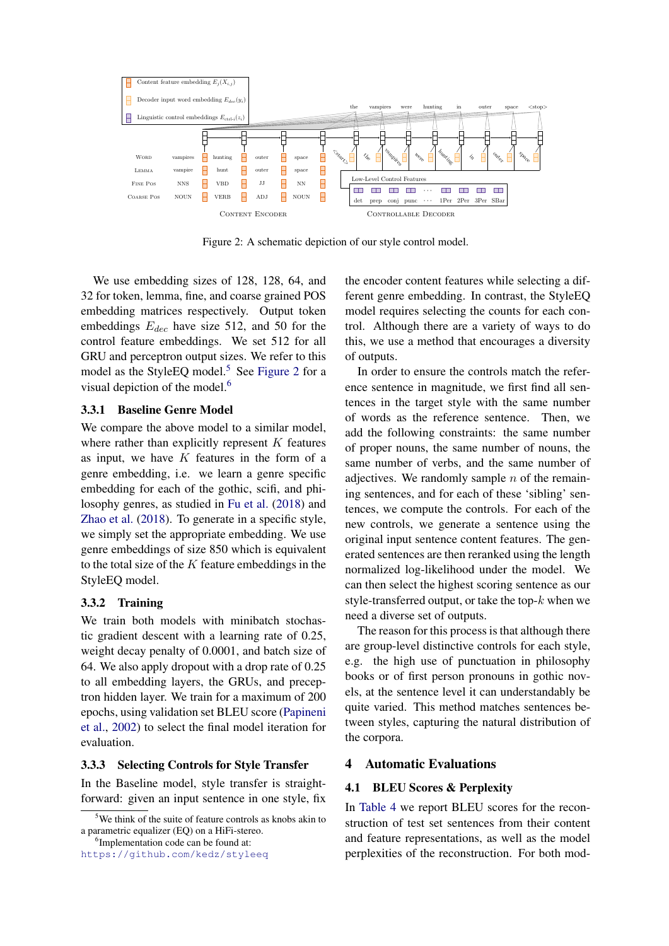<span id="page-4-2"></span>

Figure 2: A schematic depiction of our style control model.

We use embedding sizes of 128, 128, 64, and 32 for token, lemma, fine, and coarse grained POS embedding matrices respectively. Output token embeddings  $E_{dec}$  have size 512, and 50 for the control feature embeddings. We set 512 for all GRU and perceptron output sizes. We refer to this model as the StyleEQ model.<sup>[5](#page-4-1)</sup> See [Figure 2](#page-4-2) for a visual depiction of the model.<sup>[6](#page-4-3)</sup>

#### 3.3.1 Baseline Genre Model

We compare the above model to a similar model, where rather than explicitly represent  $K$  features as input, we have  $K$  features in the form of a genre embedding, i.e. we learn a genre specific embedding for each of the gothic, scifi, and philosophy genres, as studied in [Fu et al.](#page-9-6) [\(2018\)](#page-9-6) and [Zhao et al.](#page-10-1) [\(2018\)](#page-10-1). To generate in a specific style, we simply set the appropriate embedding. We use genre embeddings of size 850 which is equivalent to the total size of the  $K$  feature embeddings in the StyleEQ model.

#### 3.3.2 Training

We train both models with minibatch stochastic gradient descent with a learning rate of 0.25, weight decay penalty of 0.0001, and batch size of 64. We also apply dropout with a drop rate of 0.25 to all embedding layers, the GRUs, and preceptron hidden layer. We train for a maximum of 200 epochs, using validation set BLEU score [\(Papineni](#page-9-24) [et al.,](#page-9-24) [2002\)](#page-9-24) to select the final model iteration for evaluation.

#### <span id="page-4-0"></span>3.3.3 Selecting Controls for Style Transfer

In the Baseline model, style transfer is straightforward: given an input sentence in one style, fix

<span id="page-4-3"></span><sup>6</sup>Implementation code can be found at:

<https://github.com/kedz/styleeq>

the encoder content features while selecting a different genre embedding. In contrast, the StyleEQ model requires selecting the counts for each control. Although there are a variety of ways to do this, we use a method that encourages a diversity of outputs.

In order to ensure the controls match the reference sentence in magnitude, we first find all sentences in the target style with the same number of words as the reference sentence. Then, we add the following constraints: the same number of proper nouns, the same number of nouns, the same number of verbs, and the same number of adjectives. We randomly sample  $n$  of the remaining sentences, and for each of these 'sibling' sentences, we compute the controls. For each of the new controls, we generate a sentence using the original input sentence content features. The generated sentences are then reranked using the length normalized log-likelihood under the model. We can then select the highest scoring sentence as our style-transferred output, or take the top- $k$  when we need a diverse set of outputs.

The reason for this process is that although there are group-level distinctive controls for each style, e.g. the high use of punctuation in philosophy books or of first person pronouns in gothic novels, at the sentence level it can understandably be quite varied. This method matches sentences between styles, capturing the natural distribution of the corpora.

## 4 Automatic Evaluations

#### 4.1 BLEU Scores & Perplexity

In [Table 4](#page-5-0) we report BLEU scores for the reconstruction of test set sentences from their content and feature representations, as well as the model perplexities of the reconstruction. For both mod-

<span id="page-4-1"></span><sup>&</sup>lt;sup>5</sup>We think of the suite of feature controls as knobs akin to a parametric equalizer (EQ) on a HiFi-stereo.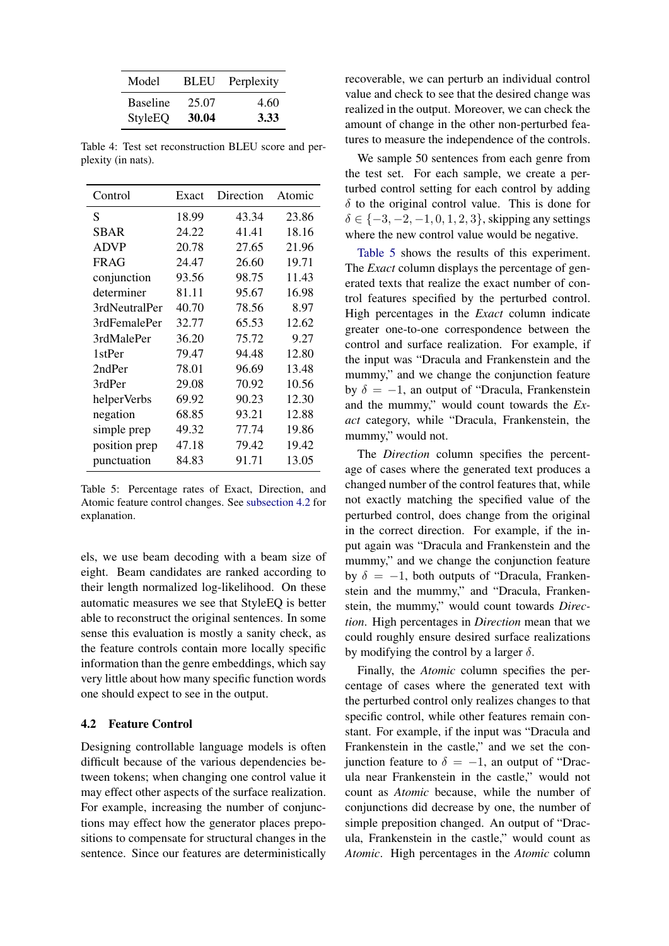<span id="page-5-0"></span>

| Model           | <b>BLEU</b> | Perplexity |
|-----------------|-------------|------------|
| <b>Baseline</b> | 25.07       | 4.60       |
| StyleEQ         | 30.04       | 3.33       |

Table 4: Test set reconstruction BLEU score and perplexity (in nats).

<span id="page-5-2"></span>

| Control       | Exact | Direction | Atomic |
|---------------|-------|-----------|--------|
| S             | 18.99 | 43.34     | 23.86  |
| SBAR          | 24.22 | 41.41     | 18.16  |
| <b>ADVP</b>   | 20.78 | 27.65     | 21.96  |
| <b>FRAG</b>   | 24.47 | 26.60     | 19.71  |
| conjunction   | 93.56 | 98.75     | 11.43  |
| determiner    | 81.11 | 95.67     | 16.98  |
| 3rdNeutralPer | 40.70 | 78.56     | 8.97   |
| 3rdFemalePer  | 32.77 | 65.53     | 12.62  |
| 3rdMalePer    | 36.20 | 75.72     | 9.27   |
| 1stPer        | 79.47 | 94.48     | 12.80  |
| 2ndPer        | 78.01 | 96.69     | 13.48  |
| 3rdPer        | 29.08 | 70.92     | 10.56  |
| helperVerbs   | 69.92 | 90.23     | 12.30  |
| negation      | 68.85 | 93.21     | 12.88  |
| simple prep   | 49.32 | 77.74     | 19.86  |
| position prep | 47.18 | 79.42     | 19.42  |
| punctuation   | 84.83 | 91.71     | 13.05  |

Table 5: Percentage rates of Exact, Direction, and Atomic feature control changes. See [subsection 4.2](#page-5-1) for explanation.

els, we use beam decoding with a beam size of eight. Beam candidates are ranked according to their length normalized log-likelihood. On these automatic measures we see that StyleEQ is better able to reconstruct the original sentences. In some sense this evaluation is mostly a sanity check, as the feature controls contain more locally specific information than the genre embeddings, which say very little about how many specific function words one should expect to see in the output.

#### <span id="page-5-1"></span>4.2 Feature Control

Designing controllable language models is often difficult because of the various dependencies between tokens; when changing one control value it may effect other aspects of the surface realization. For example, increasing the number of conjunctions may effect how the generator places prepositions to compensate for structural changes in the sentence. Since our features are deterministically recoverable, we can perturb an individual control value and check to see that the desired change was realized in the output. Moreover, we can check the amount of change in the other non-perturbed features to measure the independence of the controls.

We sample 50 sentences from each genre from the test set. For each sample, we create a perturbed control setting for each control by adding  $\delta$  to the original control value. This is done for  $\delta \in \{-3, -2, -1, 0, 1, 2, 3\}$ , skipping any settings where the new control value would be negative.

[Table 5](#page-5-2) shows the results of this experiment. The *Exact* column displays the percentage of generated texts that realize the exact number of control features specified by the perturbed control. High percentages in the *Exact* column indicate greater one-to-one correspondence between the control and surface realization. For example, if the input was "Dracula and Frankenstein and the mummy," and we change the conjunction feature by  $\delta = -1$ , an output of "Dracula, Frankenstein and the mummy," would count towards the *Exact* category, while "Dracula, Frankenstein, the mummy," would not.

The *Direction* column specifies the percentage of cases where the generated text produces a changed number of the control features that, while not exactly matching the specified value of the perturbed control, does change from the original in the correct direction. For example, if the input again was "Dracula and Frankenstein and the mummy," and we change the conjunction feature by  $\delta = -1$ , both outputs of "Dracula, Frankenstein and the mummy," and "Dracula, Frankenstein, the mummy," would count towards *Direction*. High percentages in *Direction* mean that we could roughly ensure desired surface realizations by modifying the control by a larger  $\delta$ .

Finally, the *Atomic* column specifies the percentage of cases where the generated text with the perturbed control only realizes changes to that specific control, while other features remain constant. For example, if the input was "Dracula and Frankenstein in the castle," and we set the conjunction feature to  $\delta = -1$ , an output of "Dracula near Frankenstein in the castle," would not count as *Atomic* because, while the number of conjunctions did decrease by one, the number of simple preposition changed. An output of "Dracula, Frankenstein in the castle," would count as *Atomic*. High percentages in the *Atomic* column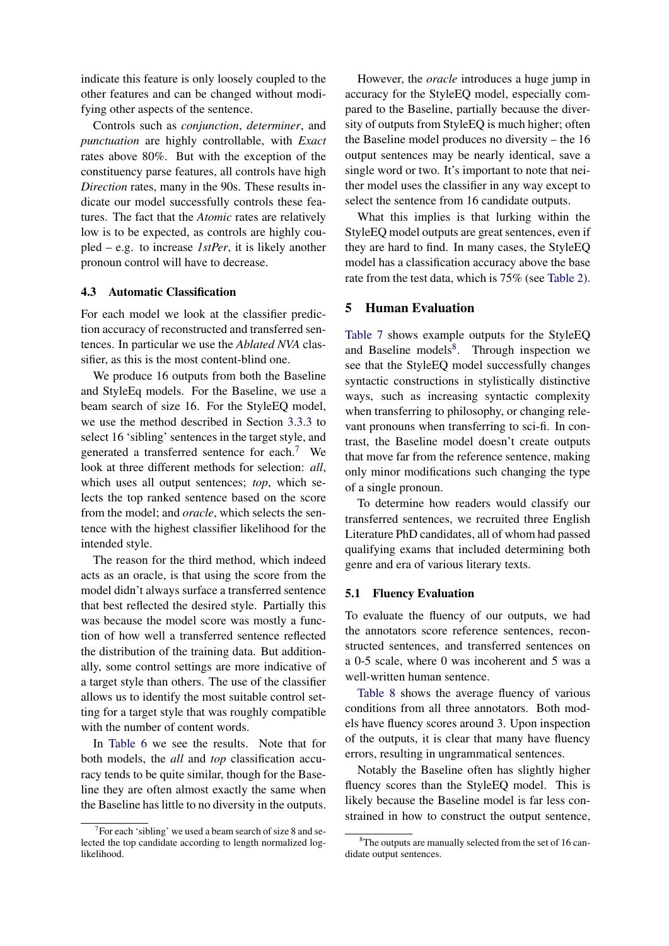indicate this feature is only loosely coupled to the other features and can be changed without modifying other aspects of the sentence.

Controls such as *conjunction*, *determiner*, and *punctuation* are highly controllable, with *Exact* rates above 80%. But with the exception of the constituency parse features, all controls have high *Direction* rates, many in the 90s. These results indicate our model successfully controls these features. The fact that the *Atomic* rates are relatively low is to be expected, as controls are highly coupled – e.g. to increase *1stPer*, it is likely another pronoun control will have to decrease.

## 4.3 Automatic Classification

For each model we look at the classifier prediction accuracy of reconstructed and transferred sentences. In particular we use the *Ablated NVA* classifier, as this is the most content-blind one.

We produce 16 outputs from both the Baseline and StyleEq models. For the Baseline, we use a beam search of size 16. For the StyleEQ model, we use the method described in Section [3.3.3](#page-4-0) to select 16 'sibling' sentences in the target style, and generated a transferred sentence for each.[7](#page-6-0) We look at three different methods for selection: *all*, which uses all output sentences; *top*, which selects the top ranked sentence based on the score from the model; and *oracle*, which selects the sentence with the highest classifier likelihood for the intended style.

The reason for the third method, which indeed acts as an oracle, is that using the score from the model didn't always surface a transferred sentence that best reflected the desired style. Partially this was because the model score was mostly a function of how well a transferred sentence reflected the distribution of the training data. But additionally, some control settings are more indicative of a target style than others. The use of the classifier allows us to identify the most suitable control setting for a target style that was roughly compatible with the number of content words.

In [Table 6](#page-7-0) we see the results. Note that for both models, the *all* and *top* classification accuracy tends to be quite similar, though for the Baseline they are often almost exactly the same when the Baseline has little to no diversity in the outputs.

However, the *oracle* introduces a huge jump in accuracy for the StyleEQ model, especially compared to the Baseline, partially because the diversity of outputs from StyleEQ is much higher; often the Baseline model produces no diversity – the 16 output sentences may be nearly identical, save a single word or two. It's important to note that neither model uses the classifier in any way except to select the sentence from 16 candidate outputs.

What this implies is that lurking within the StyleEQ model outputs are great sentences, even if they are hard to find. In many cases, the StyleEQ model has a classification accuracy above the base rate from the test data, which is 75% (see [Table 2\)](#page-2-3).

## 5 Human Evaluation

[Table 7](#page-7-1) shows example outputs for the StyleEQ and Baseline models<sup>[8](#page-6-1)</sup>. Through inspection we see that the StyleEQ model successfully changes syntactic constructions in stylistically distinctive ways, such as increasing syntactic complexity when transferring to philosophy, or changing relevant pronouns when transferring to sci-fi. In contrast, the Baseline model doesn't create outputs that move far from the reference sentence, making only minor modifications such changing the type of a single pronoun.

To determine how readers would classify our transferred sentences, we recruited three English Literature PhD candidates, all of whom had passed qualifying exams that included determining both genre and era of various literary texts.

#### 5.1 Fluency Evaluation

To evaluate the fluency of our outputs, we had the annotators score reference sentences, reconstructed sentences, and transferred sentences on a 0-5 scale, where 0 was incoherent and 5 was a well-written human sentence.

[Table 8](#page-7-2) shows the average fluency of various conditions from all three annotators. Both models have fluency scores around 3. Upon inspection of the outputs, it is clear that many have fluency errors, resulting in ungrammatical sentences.

Notably the Baseline often has slightly higher fluency scores than the StyleEQ model. This is likely because the Baseline model is far less constrained in how to construct the output sentence,

<span id="page-6-0"></span><sup>&</sup>lt;sup>7</sup> For each 'sibling' we used a beam search of size 8 and selected the top candidate according to length normalized loglikelihood.

<span id="page-6-1"></span><sup>&</sup>lt;sup>8</sup>The outputs are manually selected from the set of 16 candidate output sentences.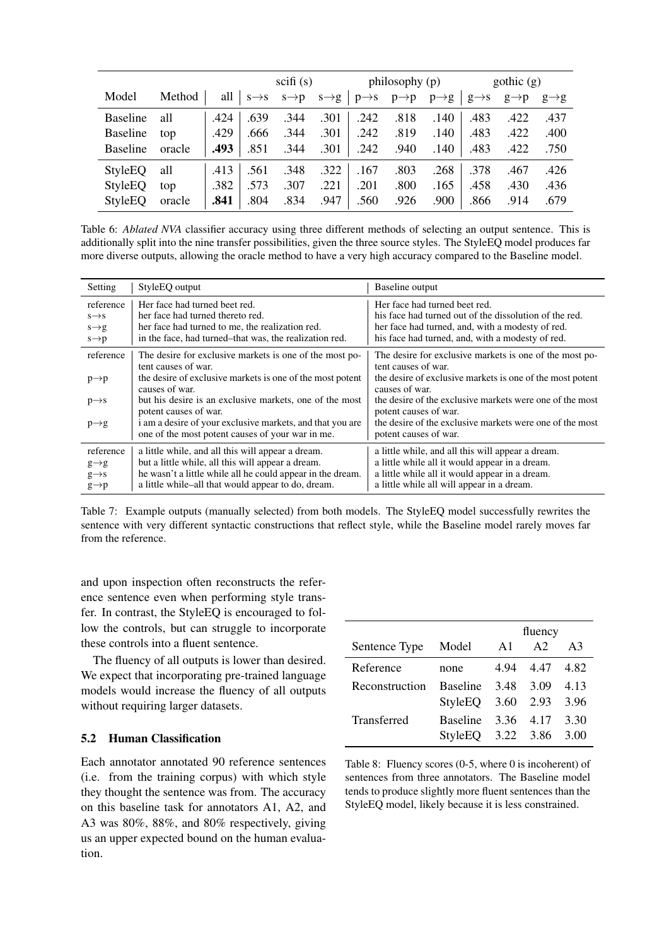<span id="page-7-0"></span>

|                 |        |      |      | scifi(s)                            |                   |                   | philosophy $(p)$ |                   |                   | gothic(g)         |                   |
|-----------------|--------|------|------|-------------------------------------|-------------------|-------------------|------------------|-------------------|-------------------|-------------------|-------------------|
| Model           | Method | all  |      | $s \rightarrow s$ $s \rightarrow p$ | $s \rightarrow g$ | $p \rightarrow s$ | $p\rightarrow p$ | $p \rightarrow g$ | $g \rightarrow s$ | $g \rightarrow p$ | $g \rightarrow g$ |
| <b>Baseline</b> | all    | .424 | .639 | .344                                | .301              | .242              | .818             | .140              | .483              | .422              | .437              |
| <b>Baseline</b> | top    | .429 | .666 | .344                                | .301              | .242              | .819             | .140              | .483              | .422              | .400              |
| <b>Baseline</b> | oracle | .493 | .851 | .344                                | .301              | .242              | .940             | .140              | .483              | .422              | .750              |
| StyleEQ         | all    | .413 | .561 | .348                                | .322              | .167              | .803             | .268              | .378              | .467              | .426              |
| StyleEQ         | top    | .382 | .573 | .307                                | .221              | .201              | .800             | .165              | .458              | .430              | .436              |
| StyleEQ         | oracle | .841 | .804 | .834                                | .947              | .560              | .926             | .900              | .866              | .914              | .679              |

Table 6: *Ablated NVA* classifier accuracy using three different methods of selecting an output sentence. This is additionally split into the nine transfer possibilities, given the three source styles. The StyleEQ model produces far more diverse outputs, allowing the oracle method to have a very high accuracy compared to the Baseline model.

<span id="page-7-1"></span>

| Setting                                | Style <sub>EQ</sub> output                                                                                    | Baseline output                                                                         |
|----------------------------------------|---------------------------------------------------------------------------------------------------------------|-----------------------------------------------------------------------------------------|
| reference                              | Her face had turned beet red.<br>her face had turned thereto red.                                             | Her face had turned beet red.<br>his face had turned out of the dissolution of the red. |
| $s \rightarrow s$<br>$s \rightarrow g$ | her face had turned to me, the realization red.                                                               | her face had turned, and, with a modesty of red.                                        |
| $s \rightarrow p$                      | in the face, had turned–that was, the realization red.                                                        | his face had turned, and, with a modesty of red.                                        |
| reference                              | The desire for exclusive markets is one of the most po-<br>tent causes of war.                                | The desire for exclusive markets is one of the most po-<br>tent causes of war.          |
| $p \rightarrow p$                      | the desire of exclusive markets is one of the most potent<br>causes of war.                                   | the desire of exclusive markets is one of the most potent<br>causes of war.             |
| $p \rightarrow s$                      | but his desire is an exclusive markets, one of the most<br>potent causes of war.                              | the desire of the exclusive markets were one of the most<br>potent causes of war.       |
| $p \rightarrow g$                      | i am a desire of your exclusive markets, and that you are<br>one of the most potent causes of your war in me. | the desire of the exclusive markets were one of the most<br>potent causes of war.       |
| reference                              | a little while, and all this will appear a dream.                                                             | a little while, and all this will appear a dream.                                       |
| $g \rightarrow g$                      | but a little while, all this will appear a dream.                                                             | a little while all it would appear in a dream.                                          |
| $g \rightarrow s$                      | he wasn't a little while all he could appear in the dream.                                                    | a little while all it would appear in a dream.                                          |
| $g \rightarrow p$                      | a little while-all that would appear to do, dream.                                                            | a little while all will appear in a dream.                                              |

Table 7: Example outputs (manually selected) from both models. The StyleEQ model successfully rewrites the sentence with very different syntactic constructions that reflect style, while the Baseline model rarely moves far from the reference.

and upon inspection often reconstructs the reference sentence even when performing style transfer. In contrast, the StyleEQ is encouraged to follow the controls, but can struggle to incorporate these controls into a fluent sentence.

The fluency of all outputs is lower than desired. We expect that incorporating pre-trained language models would increase the fluency of all outputs without requiring larger datasets.

## 5.2 Human Classification

Each annotator annotated 90 reference sentences (i.e. from the training corpus) with which style they thought the sentence was from. The accuracy on this baseline task for annotators A1, A2, and A3 was 80%, 88%, and 80% respectively, giving us an upper expected bound on the human evaluation.

<span id="page-7-2"></span>

|                    |                        | fluency       |                |       |  |
|--------------------|------------------------|---------------|----------------|-------|--|
| Sentence Type      | Model                  | $\mathbf{A}1$ | A <sub>2</sub> | $A_3$ |  |
| Reference          | none                   | 4.94          | 4.47 4.82      |       |  |
| Reconstruction     | <b>Baseline</b>        | 3.48          | 3.09           | 4.13  |  |
|                    | StyleEQ 3.60 2.93      |               |                | 3.96  |  |
| <b>Transferred</b> | <b>Baseline</b>        |               | 3.36 4.17      | 3.30  |  |
|                    | StyleEQ 3.22 3.86 3.00 |               |                |       |  |

Table 8: Fluency scores (0-5, where 0 is incoherent) of sentences from three annotators. The Baseline model tends to produce slightly more fluent sentences than the StyleEQ model, likely because it is less constrained.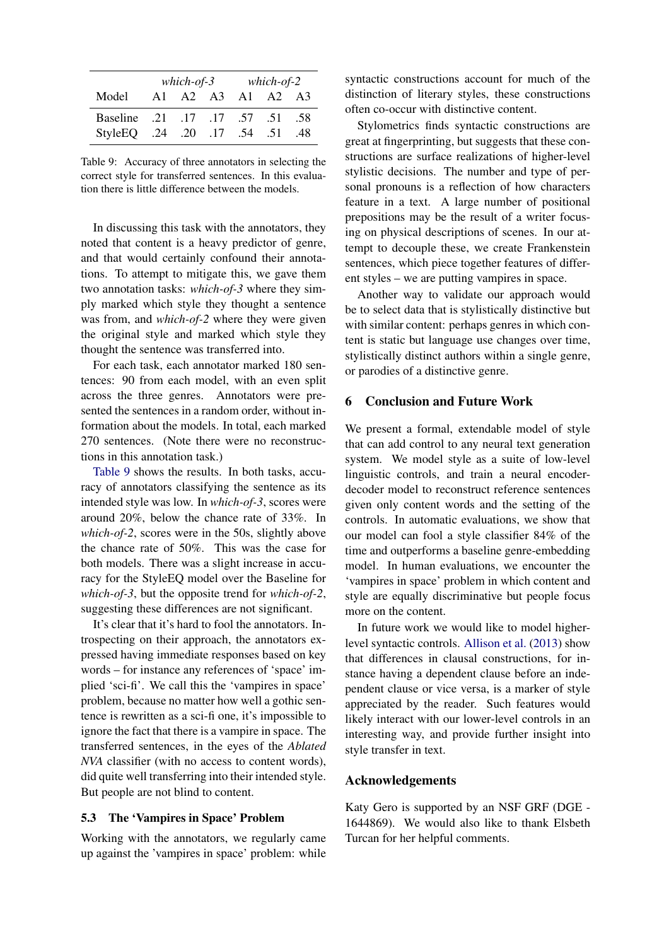<span id="page-8-0"></span>

|                                  | which-of-3 |  |  |             | $which-of-2$ |                |
|----------------------------------|------------|--|--|-------------|--------------|----------------|
| Model                            | A1         |  |  | A2 A3 A1 A2 |              | A <sup>3</sup> |
| 58. 51. 57. 17. 17. 57. Baseline |            |  |  |             |              |                |
| 51. 54. 17. 17. StyleEQ. 24. 20  |            |  |  |             |              | .48            |

Table 9: Accuracy of three annotators in selecting the correct style for transferred sentences. In this evaluation there is little difference between the models.

In discussing this task with the annotators, they noted that content is a heavy predictor of genre, and that would certainly confound their annotations. To attempt to mitigate this, we gave them two annotation tasks: *which-of-3* where they simply marked which style they thought a sentence was from, and *which-of-2* where they were given the original style and marked which style they thought the sentence was transferred into.

For each task, each annotator marked 180 sentences: 90 from each model, with an even split across the three genres. Annotators were presented the sentences in a random order, without information about the models. In total, each marked 270 sentences. (Note there were no reconstructions in this annotation task.)

[Table 9](#page-8-0) shows the results. In both tasks, accuracy of annotators classifying the sentence as its intended style was low. In *which-of-3*, scores were around 20%, below the chance rate of 33%. In *which-of-2*, scores were in the 50s, slightly above the chance rate of 50%. This was the case for both models. There was a slight increase in accuracy for the StyleEQ model over the Baseline for *which-of-3*, but the opposite trend for *which-of-2*, suggesting these differences are not significant.

It's clear that it's hard to fool the annotators. Introspecting on their approach, the annotators expressed having immediate responses based on key words – for instance any references of 'space' implied 'sci-fi'. We call this the 'vampires in space' problem, because no matter how well a gothic sentence is rewritten as a sci-fi one, it's impossible to ignore the fact that there is a vampire in space. The transferred sentences, in the eyes of the *Ablated NVA* classifier (with no access to content words), did quite well transferring into their intended style. But people are not blind to content.

#### 5.3 The 'Vampires in Space' Problem

Working with the annotators, we regularly came up against the 'vampires in space' problem: while syntactic constructions account for much of the distinction of literary styles, these constructions often co-occur with distinctive content.

Stylometrics finds syntactic constructions are great at fingerprinting, but suggests that these constructions are surface realizations of higher-level stylistic decisions. The number and type of personal pronouns is a reflection of how characters feature in a text. A large number of positional prepositions may be the result of a writer focusing on physical descriptions of scenes. In our attempt to decouple these, we create Frankenstein sentences, which piece together features of different styles – we are putting vampires in space.

Another way to validate our approach would be to select data that is stylistically distinctive but with similar content: perhaps genres in which content is static but language use changes over time, stylistically distinct authors within a single genre, or parodies of a distinctive genre.

## 6 Conclusion and Future Work

We present a formal, extendable model of style that can add control to any neural text generation system. We model style as a suite of low-level linguistic controls, and train a neural encoderdecoder model to reconstruct reference sentences given only content words and the setting of the controls. In automatic evaluations, we show that our model can fool a style classifier 84% of the time and outperforms a baseline genre-embedding model. In human evaluations, we encounter the 'vampires in space' problem in which content and style are equally discriminative but people focus more on the content.

In future work we would like to model higherlevel syntactic controls. [Allison et al.](#page-9-18) [\(2013\)](#page-9-18) show that differences in clausal constructions, for instance having a dependent clause before an independent clause or vice versa, is a marker of style appreciated by the reader. Such features would likely interact with our lower-level controls in an interesting way, and provide further insight into style transfer in text.

### Acknowledgements

Katy Gero is supported by an NSF GRF (DGE - 1644869). We would also like to thank Elsbeth Turcan for her helpful comments.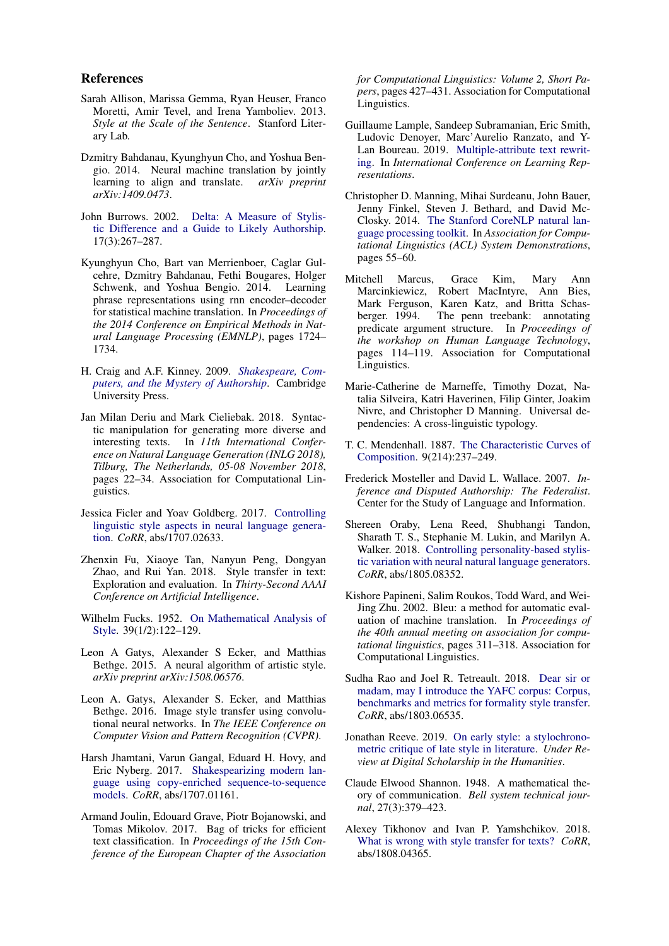#### References

- <span id="page-9-18"></span>Sarah Allison, Marissa Gemma, Ryan Heuser, Franco Moretti, Amir Tevel, and Irena Yamboliev. 2013. *Style at the Scale of the Sentence*. Stanford Literary Lab.
- <span id="page-9-20"></span>Dzmitry Bahdanau, Kyunghyun Cho, and Yoshua Bengio. 2014. Neural machine translation by jointly learning to align and translate. *arXiv preprint arXiv:1409.0473*.
- <span id="page-9-15"></span>John Burrows. 2002. [Delta: A Measure of Stylis](https://doi.org/10.1093/llc/17.3.267)[tic Difference and a Guide to Likely Authorship.](https://doi.org/10.1093/llc/17.3.267) 17(3):267–287.
- <span id="page-9-21"></span>Kyunghyun Cho, Bart van Merrienboer, Caglar Gulcehre, Dzmitry Bahdanau, Fethi Bougares, Holger Schwenk, and Yoshua Bengio. 2014. Learning phrase representations using rnn encoder–decoder for statistical machine translation. In *Proceedings of the 2014 Conference on Empirical Methods in Natural Language Processing (EMNLP)*, pages 1724– 1734.
- <span id="page-9-16"></span>H. Craig and A.F. Kinney. 2009. *[Shakespeare, Com](https://books.google.com/books?id=uFncQB9T4xoC)[puters, and the Mystery of Authorship](https://books.google.com/books?id=uFncQB9T4xoC)*. Cambridge University Press.
- <span id="page-9-10"></span>Jan Milan Deriu and Mark Cieliebak. 2018. Syntactic manipulation for generating more diverse and interesting texts. In *11th International Conference on Natural Language Generation (INLG 2018), Tilburg, The Netherlands, 05-08 November 2018*, pages 22–34. Association for Computational Linguistics.
- <span id="page-9-11"></span>Jessica Ficler and Yoav Goldberg. 2017. [Controlling](http://arxiv.org/abs/1707.02633) [linguistic style aspects in neural language genera](http://arxiv.org/abs/1707.02633)[tion.](http://arxiv.org/abs/1707.02633) *CoRR*, abs/1707.02633.
- <span id="page-9-6"></span>Zhenxin Fu, Xiaoye Tan, Nanyun Peng, Dongyan Zhao, and Rui Yan. 2018. Style transfer in text: Exploration and evaluation. In *Thirty-Second AAAI Conference on Artificial Intelligence*.
- <span id="page-9-13"></span>Wilhelm Fucks. 1952. [On Mathematical Analysis of](https://doi.org/10.2307/2332470) [Style.](https://doi.org/10.2307/2332470) 39(1/2):122–129.
- <span id="page-9-0"></span>Leon A Gatys, Alexander S Ecker, and Matthias Bethge. 2015. A neural algorithm of artistic style. *arXiv preprint arXiv:1508.06576*.
- <span id="page-9-1"></span>Leon A. Gatys, Alexander S. Ecker, and Matthias Bethge. 2016. Image style transfer using convolutional neural networks. In *The IEEE Conference on Computer Vision and Pattern Recognition (CVPR)*.
- <span id="page-9-4"></span>Harsh Jhamtani, Varun Gangal, Eduard H. Hovy, and Eric Nyberg. 2017. [Shakespearizing modern lan](http://arxiv.org/abs/1707.01161)[guage using copy-enriched sequence-to-sequence](http://arxiv.org/abs/1707.01161) [models.](http://arxiv.org/abs/1707.01161) *CoRR*, abs/1707.01161.
- <span id="page-9-17"></span>Armand Joulin, Edouard Grave, Piotr Bojanowski, and Tomas Mikolov. 2017. Bag of tricks for efficient text classification. In *Proceedings of the 15th Conference of the European Chapter of the Association*

*for Computational Linguistics: Volume 2, Short Papers*, pages 427–431. Association for Computational Linguistics.

- <span id="page-9-7"></span>Guillaume Lample, Sandeep Subramanian, Eric Smith, Ludovic Denoyer, Marc'Aurelio Ranzato, and Y-Lan Boureau. 2019. [Multiple-attribute text rewrit](https://openreview.net/forum?id=H1g2NhC5KQ)[ing.](https://openreview.net/forum?id=H1g2NhC5KQ) In *International Conference on Learning Representations*.
- <span id="page-9-19"></span>Christopher D. Manning, Mihai Surdeanu, John Bauer, Jenny Finkel, Steven J. Bethard, and David Mc-Closky. 2014. [The Stanford CoreNLP natural lan](http://www.aclweb.org/anthology/P/P14/P14-5010)[guage processing toolkit.](http://www.aclweb.org/anthology/P/P14/P14-5010) In *Association for Computational Linguistics (ACL) System Demonstrations*, pages 55–60.
- <span id="page-9-22"></span>Mitchell Marcus, Grace Kim, Mary Ann Marcinkiewicz, Robert MacIntyre, Ann Bies, Mark Ferguson, Karen Katz, and Britta Schas-<br>berger. 1994. The penn treebank: annotating The penn treebank: annotating predicate argument structure. In *Proceedings of the workshop on Human Language Technology*, pages 114–119. Association for Computational Linguistics.
- <span id="page-9-23"></span>Marie-Catherine de Marneffe, Timothy Dozat, Natalia Silveira, Katri Haverinen, Filip Ginter, Joakim Nivre, and Christopher D Manning. Universal dependencies: A cross-linguistic typology.
- <span id="page-9-12"></span>T. C. Mendenhall. 1887. [The Characteristic Curves of](http://arxiv.org/abs/1764604) [Composition.](http://arxiv.org/abs/1764604) 9(214):237–249.
- <span id="page-9-2"></span>Frederick Mosteller and David L. Wallace. 2007. *Inference and Disputed Authorship: The Federalist*. Center for the Study of Language and Information.
- <span id="page-9-9"></span>Shereen Oraby, Lena Reed, Shubhangi Tandon, Sharath T. S., Stephanie M. Lukin, and Marilyn A. Walker. 2018. [Controlling personality-based stylis](http://arxiv.org/abs/1805.08352)[tic variation with neural natural language generators.](http://arxiv.org/abs/1805.08352) *CoRR*, abs/1805.08352.
- <span id="page-9-24"></span>Kishore Papineni, Salim Roukos, Todd Ward, and Wei-Jing Zhu. 2002. Bleu: a method for automatic evaluation of machine translation. In *Proceedings of the 40th annual meeting on association for computational linguistics*, pages 311–318. Association for Computational Linguistics.
- <span id="page-9-5"></span>Sudha Rao and Joel R. Tetreault. 2018. [Dear sir or](http://arxiv.org/abs/1803.06535) [madam, may I introduce the YAFC corpus: Corpus,](http://arxiv.org/abs/1803.06535) [benchmarks and metrics for formality style transfer.](http://arxiv.org/abs/1803.06535) *CoRR*, abs/1803.06535.
- <span id="page-9-3"></span>Jonathan Reeve. 2019. [On early style: a stylochrono](https://github.com/JonathanReeve/late-style-PCA/blob/master/paper/late-style-pca.pdf)[metric critique of late style in literature.](https://github.com/JonathanReeve/late-style-PCA/blob/master/paper/late-style-pca.pdf) *Under Review at Digital Scholarship in the Humanities*.
- <span id="page-9-14"></span>Claude Elwood Shannon. 1948. A mathematical theory of communication. *Bell system technical journal*, 27(3):379–423.
- <span id="page-9-8"></span>Alexey Tikhonov and Ivan P. Yamshchikov. 2018. [What is wrong with style transfer for texts?](http://arxiv.org/abs/1808.04365) *CoRR*, abs/1808.04365.